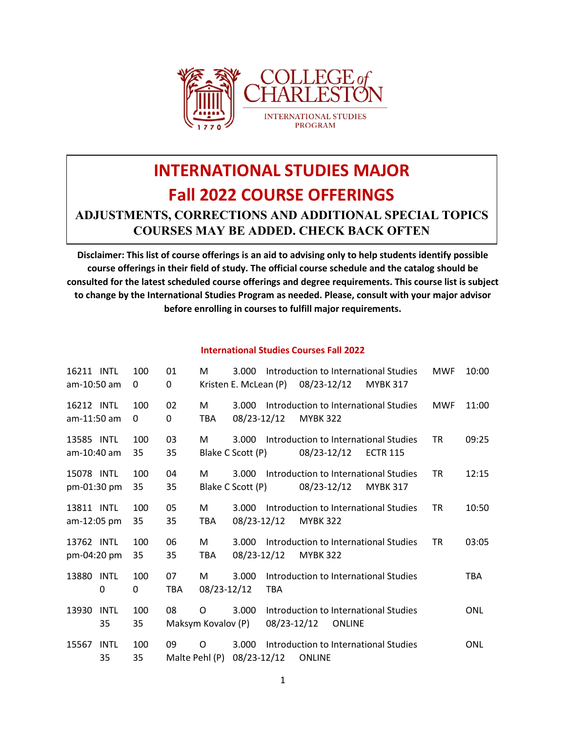

# **INTERNATIONAL STUDIES MAJOR Fall 2022 COURSE OFFERINGS ADJUSTMENTS, CORRECTIONS AND ADDITIONAL SPECIAL TOPICS COURSES MAY BE ADDED. CHECK BACK OFTEN**

**Disclaimer: This list of course offerings is an aid to advising only to help students identify possible course offerings in their field of study. The official course schedule and the catalog should be consulted for the latest scheduled course offerings and degree requirements. This course list is subject to change by the International Studies Program as needed. Please, consult with your major advisor before enrolling in courses to fulfill major requirements.**

#### **International Studies Courses Fall 2022**

| 16211 INTL<br>am-10:50 am |                   | 100<br>0  | 01<br>0   | M                       | 3.000<br>Kristen E. McLean (P) |             | 08/23-12/12     |               | Introduction to International Studies<br><b>MYBK 317</b> | <b>MWF</b> | 10:00      |
|---------------------------|-------------------|-----------|-----------|-------------------------|--------------------------------|-------------|-----------------|---------------|----------------------------------------------------------|------------|------------|
| 16212 INTL<br>am-11:50 am |                   | 100<br>0  | 02<br>0   | М<br>TBA.               | 3.000<br>08/23-12/12           |             | <b>MYBK 322</b> |               | Introduction to International Studies                    | <b>MWF</b> | 11:00      |
| 13585 INTL<br>am-10:40 am |                   | 100<br>35 | 03<br>35  | м                       | 3.000<br>Blake C Scott (P)     |             | 08/23-12/12     |               | Introduction to International Studies<br><b>ECTR 115</b> | <b>TR</b>  | 09:25      |
| 15078 INTL<br>pm-01:30 pm |                   | 100<br>35 | 04<br>35  | М                       | 3.000<br>Blake C Scott (P)     |             | 08/23-12/12     |               | Introduction to International Studies<br><b>MYBK 317</b> | <b>TR</b>  | 12:15      |
| 13811 INTL<br>am-12:05 pm |                   | 100<br>35 | 05<br>35  | M<br>TBA                | 3.000<br>08/23-12/12           |             | <b>MYBK 322</b> |               | Introduction to International Studies                    | <b>TR</b>  | 10:50      |
| 13762 INTL<br>pm-04:20 pm |                   | 100<br>35 | 06<br>35  | M<br><b>TBA</b>         | 3.000<br>08/23-12/12           |             | <b>MYBK 322</b> |               | Introduction to International Studies                    | <b>TR</b>  | 03:05      |
| 13880<br>0                | INTL              | 100<br>0  | 07<br>TBA | M<br>08/23-12/12        | 3.000                          | <b>TBA</b>  |                 |               | Introduction to International Studies                    |            | <b>TBA</b> |
| 13930                     | <b>INTL</b><br>35 | 100<br>35 | 08        | 0<br>Maksym Kovalov (P) | 3.000                          | 08/23-12/12 |                 | <b>ONLINE</b> | Introduction to International Studies                    |            | <b>ONL</b> |
| 15567                     | <b>INTL</b><br>35 | 100<br>35 | 09        | O<br>Malte Pehl (P)     | 3.000<br>08/23-12/12           |             | <b>ONLINE</b>   |               | Introduction to International Studies                    |            | <b>ONL</b> |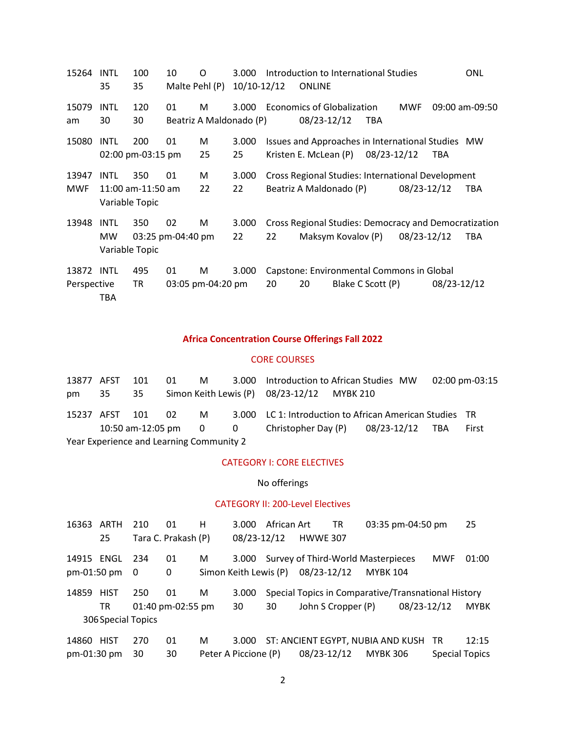| 15264       | INTL           | 100               | 10                | O                       | 3.000       |    | Introduction to International Studies                 |                   |             |             | ONL            |
|-------------|----------------|-------------------|-------------------|-------------------------|-------------|----|-------------------------------------------------------|-------------------|-------------|-------------|----------------|
|             | 35             | 35                | Malte Pehl (P)    |                         | 10/10-12/12 |    | <b>ONLINE</b>                                         |                   |             |             |                |
| 15079       | <b>INTL</b>    | 120               | 01                | M                       | 3.000       |    | <b>Economics of Globalization</b>                     |                   | <b>MWF</b>  |             | 09:00 am-09:50 |
| am          | 30             | 30                |                   | Beatriz A Maldonado (P) |             |    | 08/23-12/12                                           | TBA               |             |             |                |
| 15080       | <b>INTL</b>    | 200               | 01                | M                       | 3.000       |    | Issues and Approaches in International Studies MW     |                   |             |             |                |
|             |                | 02:00 pm-03:15 pm |                   | 25                      | 25          |    | Kristen E. McLean (P)                                 | 08/23-12/12       |             | <b>TBA</b>  |                |
| 13947       | <b>INTL</b>    | 350               | 01                | M                       | 3.000       |    | Cross Regional Studies: International Development     |                   |             |             |                |
| <b>MWF</b>  |                | 11:00 am-11:50 am |                   | 22                      | 22          |    | Beatriz A Maldonado (P)                               |                   | 08/23-12/12 |             | <b>TBA</b>     |
|             | Variable Topic |                   |                   |                         |             |    |                                                       |                   |             |             |                |
| 13948       | <b>INTL</b>    | 350               | 02                | M                       | 3.000       |    | Cross Regional Studies: Democracy and Democratization |                   |             |             |                |
|             | MW.            |                   | 03:25 pm-04:40 pm |                         | 22          | 22 | Maksym Kovalov (P)                                    |                   | 08/23-12/12 |             | <b>TBA</b>     |
|             | Variable Topic |                   |                   |                         |             |    |                                                       |                   |             |             |                |
| 13872 INTL  |                | 495               | 01                | M                       | 3.000       |    | Capstone: Environmental Commons in Global             |                   |             |             |                |
| Perspective |                | TR                |                   | 03:05 pm-04:20 pm       |             | 20 | 20                                                    | Blake C Scott (P) |             | 08/23-12/12 |                |
|             | TBA            |                   |                   |                         |             |    |                                                       |                   |             |             |                |

## **Africa Concentration Course Offerings Fall 2022**

#### CORE COURSES

|                                          | 13877 AFST 101 |    | 01  |  |  | M 3.000 Introduction to African Studies MW                  |  |  |  |  | 02:00 pm-03:15 |
|------------------------------------------|----------------|----|-----|--|--|-------------------------------------------------------------|--|--|--|--|----------------|
| pm.                                      | 35             | 35 |     |  |  | Simon Keith Lewis (P) 08/23-12/12 MYBK 210                  |  |  |  |  |                |
|                                          | 15237 AFST 101 |    | -02 |  |  | M 3.000 LC 1: Introduction to African American Studies TR   |  |  |  |  |                |
|                                          |                |    |     |  |  | 10:50 am-12:05 pm 0 0 0 Christopher Day (P) 08/23-12/12 TBA |  |  |  |  | First          |
| Year Experience and Learning Community 2 |                |    |     |  |  |                                                             |  |  |  |  |                |

#### CATEGORY I: CORE ELECTIVES

No offerings

### CATEGORY II: 200-Level Electives

| 16363       | ARTH               | 210 | 01                  | н | 3.000                 | African Art |                    | TR |                                                     | 03:35 pm-04:50 pm |                | 25          |
|-------------|--------------------|-----|---------------------|---|-----------------------|-------------|--------------------|----|-----------------------------------------------------|-------------------|----------------|-------------|
|             | 25                 |     | Tara C. Prakash (P) |   | 08/23-12/12           |             | <b>HWWE 307</b>    |    |                                                     |                   |                |             |
|             | 14915 ENGL 234     |     | 01                  | M | 3.000                 |             |                    |    | Survey of Third-World Masterpieces                  |                   | <b>MWF</b>     | 01:00       |
| pm-01:50 pm |                    | - 0 | 0                   |   | Simon Keith Lewis (P) |             | 08/23-12/12        |    | <b>MYBK 104</b>                                     |                   |                |             |
| 14859       | <b>HIST</b>        | 250 | 01                  | M | 3.000                 |             |                    |    | Special Topics in Comparative/Transnational History |                   |                |             |
|             | TR                 |     | 01:40 pm-02:55 pm   |   | 30                    | 30          | John S Cropper (P) |    |                                                     | 08/23-12/12       |                | <b>MYBK</b> |
|             | 306 Special Topics |     |                     |   |                       |             |                    |    |                                                     |                   |                |             |
| 14860       | HIST               | 270 | 01                  | M | 3.000                 |             |                    |    | ST: ANCIENT EGYPT, NUBIA AND KUSH                   |                   | <b>TR</b>      | 12:15       |
| pm-01:30 pm |                    | 30  | 30                  |   | Peter A Piccione (P)  |             | 08/23-12/12        |    | <b>MYBK 306</b>                                     |                   | Special Topics |             |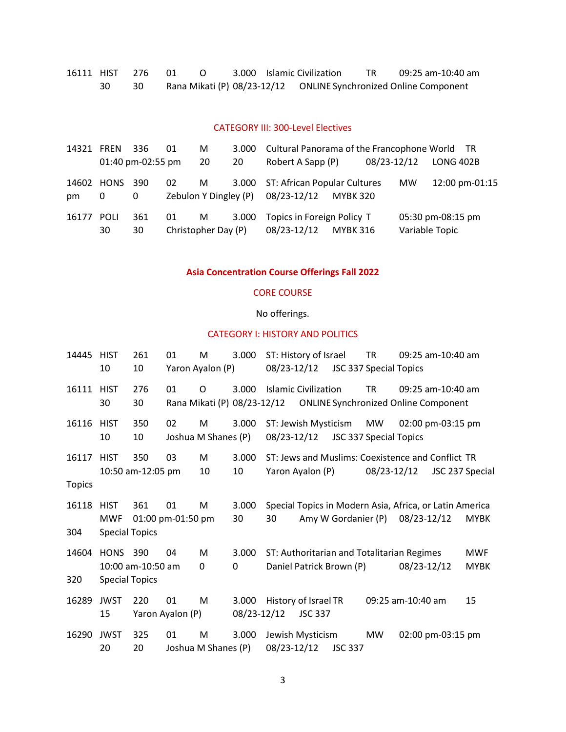|  | 16111 HIST 276 01 |  |  | 3.000 Islamic Civilization | TR 1 | 09:25 am-10:40 am |
|--|-------------------|--|--|----------------------------|------|-------------------|
|  |                   |  |  |                            |      |                   |

### CATEGORY III: 300-Level Electives

| 14321 FREN  |                   | 336               | 01                          | M  | 3.000 | Cultural Panorama of the Francophone World TR                 |             |                |                   |
|-------------|-------------------|-------------------|-----------------------------|----|-------|---------------------------------------------------------------|-------------|----------------|-------------------|
|             |                   | 01:40 pm-02:55 pm |                             | 20 | 20    | Robert A Sapp (P)                                             | 08/23-12/12 |                | <b>LONG 402B</b>  |
| 14602<br>pm | HONS<br>0         | 390<br>0          | 02<br>Zebulon Y Dingley (P) | M  |       | 3.000 ST: African Popular Cultures<br>08/23-12/12<br>MYBK 320 |             | <b>MW</b>      | 12:00 pm-01:15    |
| 16177       | <b>POLI</b><br>30 | 361<br>30         | 01<br>Christopher Day (P)   | M  | 3.000 | Topics in Foreign Policy T<br>08/23-12/12<br><b>MYBK 316</b>  |             | Variable Topic | 05:30 pm-08:15 pm |

# **Asia Concentration Course Offerings Fall 2022**

### CORE COURSE

# No offerings.

## CATEGORY I: HISTORY AND POLITICS

| 14445         | <b>HIST</b><br>10                                  | 261<br>10                | 01                      | M<br>Yaron Ayalon (P)    | 3.000                | 08/23-12/12 | ST: History of Israel                                                  | JSC 337 Special Topics        | <b>TR</b>   | 09:25 am-10:40 am |                 |                           |
|---------------|----------------------------------------------------|--------------------------|-------------------------|--------------------------|----------------------|-------------|------------------------------------------------------------------------|-------------------------------|-------------|-------------------|-----------------|---------------------------|
| 16111         | <b>HIST</b><br>30                                  | 276<br>30                | 01                      | O                        | 3.000                |             | <b>Islamic Civilization</b>                                            |                               | <b>TR</b>   | 09:25 am-10:40 am |                 |                           |
| 16116         | <b>HIST</b><br>10                                  | 350<br>10                | 02                      | M<br>Joshua M Shanes (P) | 3.000                | 08/23-12/12 | ST: Jewish Mysticism                                                   | <b>JSC 337 Special Topics</b> | MW          | 02:00 pm-03:15 pm |                 |                           |
| 16117         | <b>HIST</b>                                        | 350<br>10:50 am-12:05 pm | 03                      | М<br>10                  | 3.000<br>10          |             | ST: Jews and Muslims: Coexistence and Conflict TR<br>Yaron Ayalon (P)  |                               | 08/23-12/12 |                   | JSC 237 Special |                           |
| <b>Topics</b> |                                                    |                          |                         |                          |                      |             |                                                                        |                               |             |                   |                 |                           |
| 16118<br>304  | <b>HIST</b><br><b>MWF</b><br><b>Special Topics</b> | 361                      | 01<br>01:00 pm-01:50 pm | М                        | 3.000<br>30          | 30          | Special Topics in Modern Asia, Africa, or Latin America                | Amy W Gordanier (P)           |             | 08/23-12/12       |                 | <b>MYBK</b>               |
| 14604<br>320  | <b>HONS</b><br><b>Special Topics</b>               | 390<br>10:00 am-10:50 am | 04                      | M<br>0                   | 3.000<br>0           |             | ST: Authoritarian and Totalitarian Regimes<br>Daniel Patrick Brown (P) |                               |             | 08/23-12/12       |                 | <b>MWF</b><br><b>MYBK</b> |
| 16289         | <b>JWST</b><br>15                                  | 220                      | 01<br>Yaron Ayalon (P)  | M                        | 3.000<br>08/23-12/12 |             | History of Israel TR<br><b>JSC 337</b>                                 |                               |             | 09:25 am-10:40 am |                 | 15                        |
| 16290         | <b>JWST</b><br>20                                  | 325<br>20                | 01                      | M<br>Joshua M Shanes (P) | 3.000                | 08/23-12/12 | Jewish Mysticism                                                       | <b>JSC 337</b>                | <b>MW</b>   | 02:00 pm-03:15 pm |                 |                           |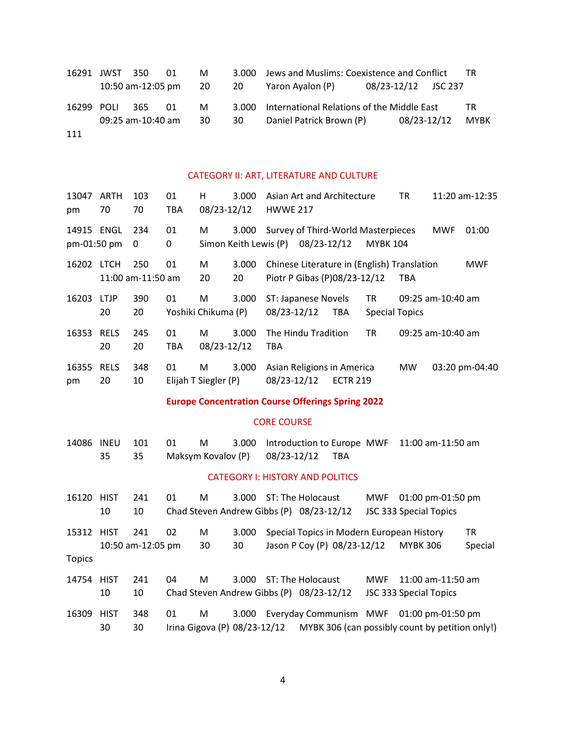|            | 16291 JWST 350 |                      | 01 | M  |      | 3.000 Jews and Muslims: Coexistence and Conflict<br><b>TR</b> |                     |             |      |  |
|------------|----------------|----------------------|----|----|------|---------------------------------------------------------------|---------------------|-------------|------|--|
|            |                | 10:50 am-12:05 pm 20 |    |    | - 20 | Yaron Ayalon (P)                                              | 08/23-12/12 JSC 237 |             |      |  |
| 16299 POLI |                | - 365                | 01 | M  |      | 3.000 International Relations of the Middle East              |                     |             | TR.  |  |
|            |                | 09:25 am-10:40 am    |    | 30 | 30   | Daniel Patrick Brown (P)                                      |                     | 08/23-12/12 | MYBK |  |
| 111        |                |                      |    |    |      |                                                               |                     |             |      |  |

## CATEGORY II: ART, LITERATURE AND CULTURE

| 13047<br>pm               | ARTH<br>70        | 103<br>70                | 01<br><b>TBA</b> | н<br>08/23-12/12          | 3.000                          | Asian Art and Architecture<br><b>HWWE 217</b>                               |             |                 |                             | ΤR         |                     | 11:20 am-12:35 |
|---------------------------|-------------------|--------------------------|------------------|---------------------------|--------------------------------|-----------------------------------------------------------------------------|-------------|-----------------|-----------------------------|------------|---------------------|----------------|
| 14915 ENGL<br>pm-01:50 pm |                   | 234<br>0                 | 01<br>0          | M                         | 3.000<br>Simon Keith Lewis (P) | Survey of Third-World Masterpieces                                          | 08/23-12/12 |                 | <b>MYBK 104</b>             |            | <b>MWF</b>          | 01:00          |
| 16202                     | <b>LTCH</b>       | 250<br>11:00 am-11:50 am | 01               | M<br>20                   | 3.000<br>20                    | Chinese Literature in (English) Translation<br>Piotr P Gibas (P)08/23-12/12 |             |                 |                             | <b>TBA</b> |                     | <b>MWF</b>     |
| 16203                     | <b>LTJP</b><br>20 | 390<br>20                | 01               | M<br>Yoshiki Chikuma (P)  | 3.000                          | ST: Japanese Novels<br>08/23-12/12                                          |             | <b>TBA</b>      | TR<br><b>Special Topics</b> |            | $09:25$ am-10:40 am |                |
| 16353                     | <b>RELS</b><br>20 | 245<br>20                | 01<br><b>TBA</b> | М<br>08/23-12/12          | 3.000                          | The Hindu Tradition<br>TBA                                                  |             |                 | TR                          |            | 09:25 am-10:40 am   |                |
| 16355<br>pm               | <b>RELS</b><br>20 | 348<br>10                | 01               | M<br>Elijah T Siegler (P) | 3.000                          | Asian Religions in America<br>08/23-12/12                                   |             | <b>ECTR 219</b> |                             | <b>MW</b>  |                     | 03:20 pm-04:40 |
|                           |                   |                          |                  |                           |                                |                                                                             |             |                 |                             |            |                     |                |

## **Europe Concentration Course Offerings Spring 2022**

### CORE COURSE

| 14086         | <b>INEU</b> | 101               | 01 | М                  | 3.000                        |                                          | Introduction to Europe MWF  |            | 11:00 am-11:50 am                               |         |
|---------------|-------------|-------------------|----|--------------------|------------------------------|------------------------------------------|-----------------------------|------------|-------------------------------------------------|---------|
|               | 35          | 35                |    | Maksym Kovalov (P) |                              | 08/23-12/12                              | <b>TBA</b>                  |            |                                                 |         |
|               |             |                   |    |                    |                              | <b>CATEGORY I: HISTORY AND POLITICS</b>  |                             |            |                                                 |         |
|               |             |                   |    |                    |                              |                                          |                             |            |                                                 |         |
| 16120         | <b>HIST</b> | 241               | 01 | м                  | 3.000                        | ST: The Holocaust                        |                             | MWF        | 01:00 pm-01:50 pm                               |         |
|               | 10          | 10                |    |                    |                              | Chad Steven Andrew Gibbs (P) 08/23-12/12 |                             |            | JSC 333 Special Topics                          |         |
| 15312 HIST    |             | 241               | 02 | M                  | 3.000                        |                                          |                             |            | Special Topics in Modern European History       | TR      |
|               |             | 10:50 am-12:05 pm |    | 30                 | 30                           |                                          | Jason P Coy (P) 08/23-12/12 |            | <b>MYBK 306</b>                                 | Special |
| <b>Topics</b> |             |                   |    |                    |                              |                                          |                             |            |                                                 |         |
|               |             | 241               | 04 |                    | 3.000                        |                                          |                             | <b>MWF</b> |                                                 |         |
| 14754         | HIST        |                   |    | М                  |                              | ST: The Holocaust                        |                             |            | 11:00 am-11:50 am                               |         |
|               | 10          | 10                |    |                    |                              | Chad Steven Andrew Gibbs (P) 08/23-12/12 |                             |            | <b>JSC 333 Special Topics</b>                   |         |
| 16309         | <b>HIST</b> | 348               | 01 | М                  | 3.000                        |                                          | Everyday Communism MWF      |            | $01:00$ pm-01:50 pm                             |         |
|               | 30          | 30                |    |                    | Irina Gigova (P) 08/23-12/12 |                                          |                             |            | MYBK 306 (can possibly count by petition only!) |         |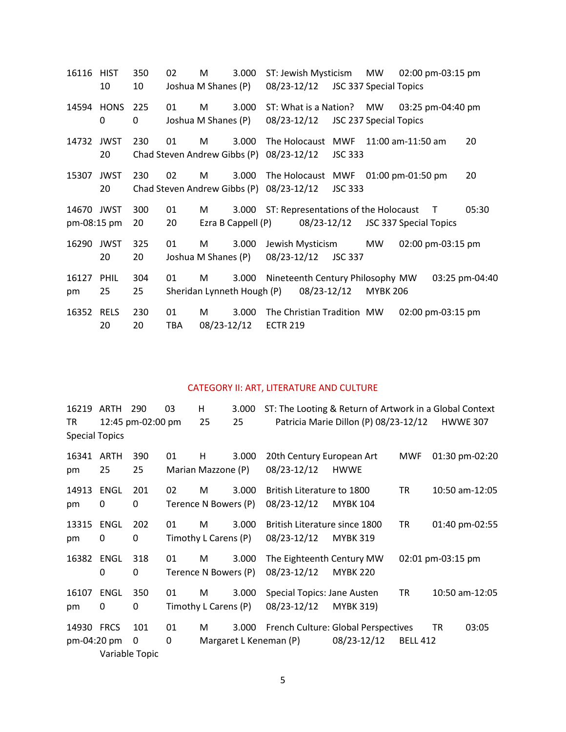| 16116 HIST                | 10                | 350<br>10 | 02                                 | M<br>Joshua M Shanes (P) | 3.000                                 | 08/23-12/12                      | ST: Jewish Mysticism | JSC 337 Special Topics               | MW                     | 02:00 pm-03:15 pm      |        |                |
|---------------------------|-------------------|-----------|------------------------------------|--------------------------|---------------------------------------|----------------------------------|----------------------|--------------------------------------|------------------------|------------------------|--------|----------------|
| 14594                     | <b>HONS</b><br>0  | 225<br>0  | 01                                 | M<br>Joshua M Shanes (P) | 3.000                                 | 08/23-12/12                      |                      | ST: What is a Nation? MW             | JSC 237 Special Topics | 03:25 pm-04:40 pm      |        |                |
| 14732                     | <b>JWST</b><br>20 | 230       | 01<br>Chad Steven Andrew Gibbs (P) | M                        | 3.000                                 | 08/23-12/12                      | The Holocaust MWF    | <b>JSC 333</b>                       |                        | 11:00 am-11:50 am      |        | 20             |
| 15307                     | <b>JWST</b><br>20 | 230       | 02                                 | M                        | 3.000<br>Chad Steven Andrew Gibbs (P) | 08/23-12/12                      | The Holocaust MWF    | <b>JSC 333</b>                       |                        | 01:00 pm-01:50 pm      |        | 20             |
| 14670 JWST<br>pm-08:15 pm |                   | 300<br>20 | 01<br>20                           | M                        | 3.000<br>Ezra B Cappell (P)           |                                  | 08/23-12/12          | ST: Representations of the Holocaust |                        | JSC 337 Special Topics | $\top$ | 05:30          |
| 16290 JWST                | 20                | 325<br>20 | 01                                 | M<br>Joshua M Shanes (P) | 3.000                                 | Jewish Mysticism<br>08/23-12/12  |                      | <b>JSC 337</b>                       | MW                     | 02:00 pm-03:15 pm      |        |                |
| 16127<br>pm               | <b>PHIL</b><br>25 | 304<br>25 | 01                                 | M                        | 3.000<br>Sheridan Lynneth Hough (P)   | Nineteenth Century Philosophy MW | 08/23-12/12          |                                      | <b>MYBK 206</b>        |                        |        | 03:25 pm-04:40 |
| 16352                     | <b>RELS</b><br>20 | 230<br>20 | 01<br><b>TBA</b>                   | м<br>08/23-12/12         | 3.000                                 | <b>ECTR 219</b>                  |                      | The Christian Tradition MW           |                        | 02:00 pm-03:15 pm      |        |                |

## CATEGORY II: ART, LITERATURE AND CULTURE

|                       | 16219 ARTH | 290               | 03 | н                    | 3.000 | ST: The Looting & Return of Artwork in a Global Context |                                       |                 |                   |                 |
|-----------------------|------------|-------------------|----|----------------------|-------|---------------------------------------------------------|---------------------------------------|-----------------|-------------------|-----------------|
| TR                    |            | 12:45 pm-02:00 pm |    | 25                   | 25    |                                                         | Patricia Marie Dillon (P) 08/23-12/12 |                 |                   | <b>HWWE 307</b> |
| <b>Special Topics</b> |            |                   |    |                      |       |                                                         |                                       |                 |                   |                 |
| 16341                 | ARTH       | 390               | 01 | H                    | 3.000 | 20th Century European Art                               |                                       | MWF             |                   | 01:30 pm-02:20  |
| pm                    | 25         | 25                |    | Marian Mazzone (P)   |       | 08/23-12/12                                             | <b>HWWE</b>                           |                 |                   |                 |
| 14913                 | ENGL       | 201               | 02 | M                    | 3.000 | British Literature to 1800                              |                                       | <b>TR</b>       |                   | 10:50 am-12:05  |
| pm                    | 0          | 0                 |    | Terence N Bowers (P) |       | 08/23-12/12                                             | <b>MYBK 104</b>                       |                 |                   |                 |
| 13315                 | ENGL       | 202               | 01 | M                    | 3.000 | British Literature since 1800                           |                                       | <b>TR</b>       |                   | 01:40 pm-02:55  |
| pm                    | 0          | 0                 |    | Timothy L Carens (P) |       | 08/23-12/12                                             | <b>MYBK 319</b>                       |                 |                   |                 |
| 16382                 | ENGL       | 318               | 01 | M                    | 3.000 | The Eighteenth Century MW                               |                                       |                 | 02:01 pm-03:15 pm |                 |
|                       | 0          | 0                 |    | Terence N Bowers (P) |       | 08/23-12/12                                             | <b>MYBK 220</b>                       |                 |                   |                 |
| 16107                 | ENGL       | 350               | 01 | M                    | 3.000 | Special Topics: Jane Austen                             |                                       | TR              |                   | 10:50 am-12:05  |
| pm                    | 0          | 0                 |    | Timothy L Carens (P) |       | 08/23-12/12                                             | <b>MYBK 319)</b>                      |                 |                   |                 |
| 14930 FRCS            |            | 101               | 01 | M                    | 3.000 | French Culture: Global Perspectives                     |                                       |                 | <b>TR</b>         | 03:05           |
| pm-04:20 pm           |            | 0                 | 0  |                      |       | Margaret L Keneman (P)                                  | 08/23-12/12                           | <b>BELL 412</b> |                   |                 |
|                       |            | Variable Topic    |    |                      |       |                                                         |                                       |                 |                   |                 |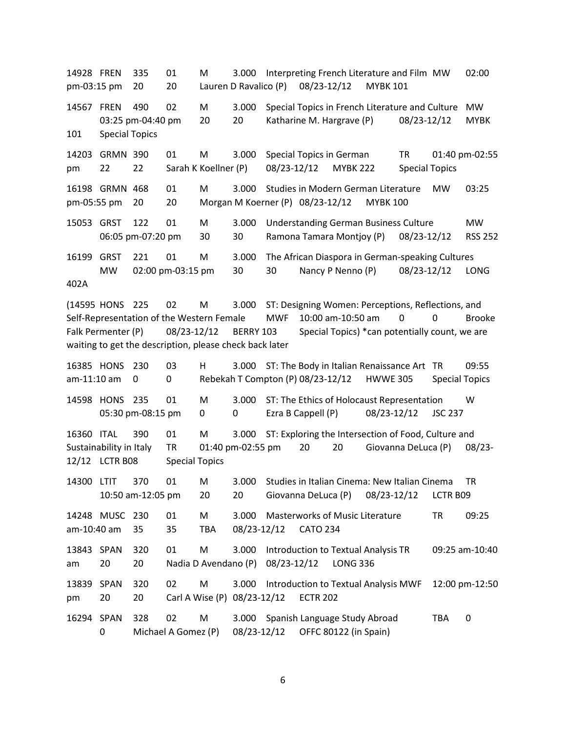14928 FREN 335 01 M 3.000 Interpreting French Literature and Film MW 02:00 pm-03:15 pm 20 20 Lauren D Ravalico (P) 08/23-12/12 MYBK 101 14567 FREN 490 02 M 3.000 Special Topics in French Literature and Culture MW 03:25 pm-04:40 pm 20 20 Katharine M. Hargrave (P) 08/23-12/12 MYBK 101 Special Topics 14203 GRMN 390 01 M 3.000 Special Topics in German TR 01:40 pm-02:55 pm 22 22 Sarah K Koellner (P) 08/23-12/12 MYBK 222 Special Topics 16198 GRMN 468 01 M 3.000 Studies in Modern German Literature MW 03:25 pm-05:55 pm 20 20 Morgan M Koerner (P) 08/23-12/12 MYBK 100 15053 GRST 122 01 M 3.000 Understanding German Business Culture MW 06:05 pm-07:20 pm 30 30 Ramona Tamara Montjoy (P) 08/23-12/12 RSS 252 16199 GRST 221 01 M 3.000 The African Diaspora in German-speaking Cultures MW 02:00 pm-03:15 pm 30 30 Nancy P Nenno (P) 08/23-12/12 LONG 402A (14595 HONS 225 02 M 3.000 ST: Designing Women: Perceptions, Reflections, and Self-Representation of the Western Female MWF 10:00 am-10:50 am 0 0 Brooke Falk Permenter (P) 08/23-12/12 BERRY 103 Special Topics) \*can potentially count, we are waiting to get the description, please check back later 16385 HONS 230 03 H 3.000 ST: The Body in Italian Renaissance Art TR 09:55 am-11:10 am 0 0 0 Rebekah T Compton (P) 08/23-12/12 HWWE 305 Special Topics 14598 HONS 235 01 M 3.000 ST: The Ethics of Holocaust Representation W 05:30 pm-08:15 pm 0 0 Ezra B Cappell (P) 08/23-12/12 JSC 237 16360 ITAL 390 01 M 3.000 ST: Exploring the Intersection of Food, Culture and Sustainability in Italy TR 01:40 pm-02:55 pm 20 20 Giovanna DeLuca (P) 08/23- 12/12 LCTR B08 Special Topics 14300 LTIT 370 01 M 3.000 Studies in Italian Cinema: New Italian Cinema TR 10:50 am-12:05 pm 20 20 Giovanna DeLuca (P) 08/23-12/12 LCTR B09 14248 MUSC 230 01 M 3.000 Masterworks of Music Literature TR 09:25 am-10:40 am 35 35 TBA 08/23-12/12 CATO 234 13843 SPAN 320 01 M 3.000 Introduction to Textual Analysis TR 09:25 am-10:40 am 20 20 Nadia D Avendano (P) 08/23-12/12 LONG 336 13839 SPAN 320 02 M 3.000 Introduction to Textual Analysis MWF 12:00 pm-12:50 pm 20 20 Carl A Wise (P) 08/23-12/12 ECTR 202 16294 SPAN 328 02 M 3.000 Spanish Language Study Abroad TBA 0 0 Michael A Gomez (P) 08/23-12/12 OFFC 80122 (in Spain)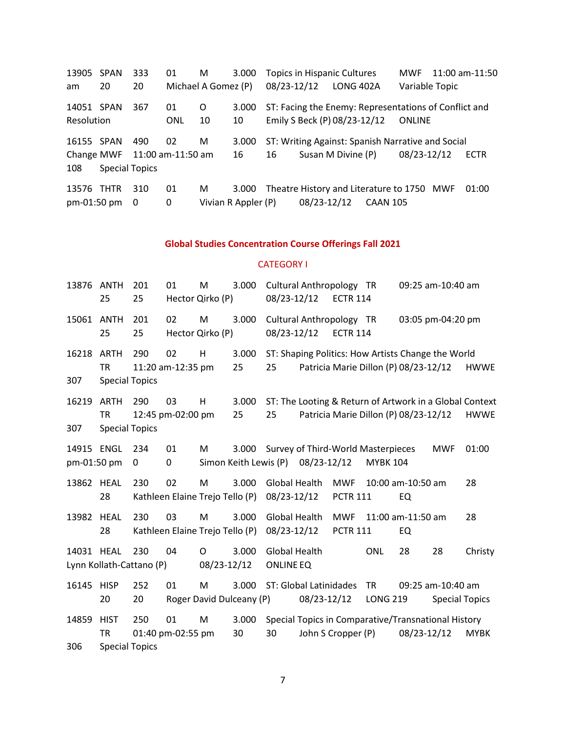SPAN 333 01 M 3.000 Topics in Hispanic Cultures MWF 11:00 am-11:50 am 20 20 Michael A Gomez (P) 08/23-12/12 LONG 402A Variable Topic SPAN 367 01 O 3.000 ST: Facing the Enemy: Representations of Conflict and Resolution ONL 10 10 Emily S Beck (P) 08/23-12/12 ONLINE SPAN 490 02 M 3.000 ST: Writing Against: Spanish Narrative and Social Change MWF 11:00 am-11:50 am 16 16 Susan M Divine (P) 08/23-12/12 ECTR Special Topics THTR 310 01 M 3.000 Theatre History and Literature to 1750 MWF 01:00 pm-01:50 pm 0 0 Vivian R Appler (P) 08/23-12/12 CAAN 105

### **Global Studies Concentration Course Offerings Fall 2021**

### CATEGORY I

| 13876 ANTH                | 25                                                | 201<br>25 | 01                      | M<br>Hector Qirko (P)                | 3.000                          | 08/23-12/12                              | Cultural Anthropology TR                                | <b>ECTR 114</b>               |                       |                                       | 09:25 am-10:40 am                          |             |
|---------------------------|---------------------------------------------------|-----------|-------------------------|--------------------------------------|--------------------------------|------------------------------------------|---------------------------------------------------------|-------------------------------|-----------------------|---------------------------------------|--------------------------------------------|-------------|
| 15061 ANTH                | 25                                                | 201<br>25 | 02                      | M<br>Hector Qirko (P)                | 3.000                          | 08/23-12/12                              | Cultural Anthropology TR                                | <b>ECTR 114</b>               |                       |                                       | 03:05 pm-04:20 pm                          |             |
| 16218<br>307              | <b>ARTH</b><br><b>TR</b><br><b>Special Topics</b> | 290       | 02<br>11:20 am-12:35 pm | H                                    | 3.000<br>25                    | 25                                       | ST: Shaping Politics: How Artists Change the World      |                               |                       | Patricia Marie Dillon (P) 08/23-12/12 |                                            | <b>HWWE</b> |
| 16219<br>307              | <b>ARTH</b><br><b>TR</b><br><b>Special Topics</b> | 290       | 03<br>12:45 pm-02:00 pm | H                                    | 3.000<br>25                    | 25                                       | ST: The Looting & Return of Artwork in a Global Context |                               |                       | Patricia Marie Dillon (P) 08/23-12/12 |                                            | <b>HWWE</b> |
| 14915 ENGL<br>pm-01:50 pm |                                                   | 234<br>0  | 01<br>0                 | M                                    | 3.000<br>Simon Keith Lewis (P) |                                          | Survey of Third-World Masterpieces<br>08/23-12/12       |                               | <b>MYBK 104</b>       |                                       | <b>MWF</b>                                 | 01:00       |
| 13862 HEAL                | 28                                                | 230       | 02                      | M<br>Kathleen Elaine Trejo Tello (P) | 3.000                          | <b>Global Health</b><br>08/23-12/12      |                                                         | <b>MWF</b><br><b>PCTR 111</b> |                       | 10:00 am-10:50 am<br>EQ               |                                            | 28          |
| 13982                     | <b>HEAL</b><br>28                                 | 230       | 03                      | M<br>Kathleen Elaine Trejo Tello (P) | 3.000                          | <b>Global Health</b><br>08/23-12/12      |                                                         | <b>MWF</b><br><b>PCTR 111</b> |                       | 11:00 am-11:50 am<br>EQ               |                                            | 28          |
| 14031 HEAL                | Lynn Kollath-Cattano (P)                          | 230       | 04                      | 0<br>08/23-12/12                     | 3.000                          | <b>Global Health</b><br><b>ONLINE EQ</b> |                                                         |                               | <b>ONL</b>            | 28                                    | 28                                         | Christy     |
| 16145                     | <b>HISP</b><br>20                                 | 252<br>20 | 01                      | M<br>Roger David Dulceany (P)        | 3.000                          |                                          | ST: Global Latinidades<br>08/23-12/12                   |                               | TR<br><b>LONG 219</b> |                                       | 09:25 am-10:40 am<br><b>Special Topics</b> |             |
| 14859<br>306              | <b>HIST</b><br><b>TR</b><br><b>Special Topics</b> | 250       | 01<br>01:40 pm-02:55 pm | M                                    | 3.000<br>30                    | 30                                       | Special Topics in Comparative/Transnational History     | John S Cropper (P)            |                       | 08/23-12/12                           |                                            | <b>MYBK</b> |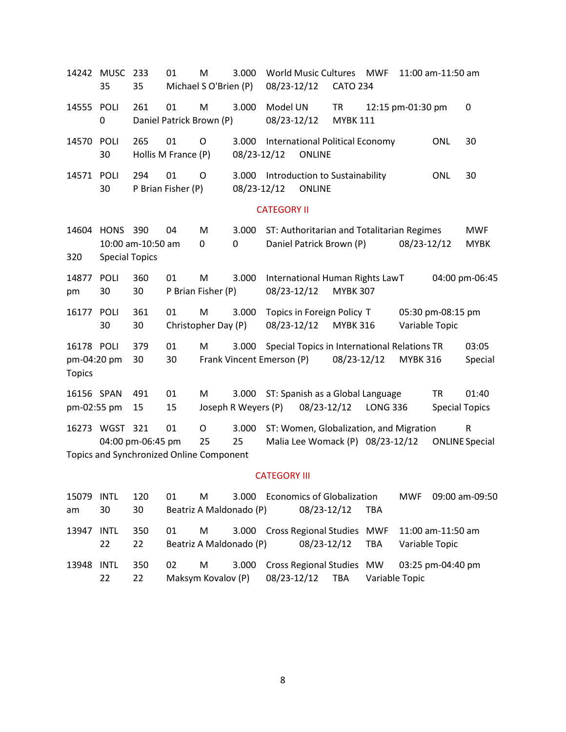| 14242 MUSC                                 | 35                                   | 233<br>35                                                     | 01                             | M<br>Michael S O'Brien (P) | 3.000                              | 08/23-12/12             | <b>World Music Cultures</b>                                                 | <b>CATO 234</b>              | <b>MWF</b>      |                   | 11:00 am-11:50 am                  |                           |
|--------------------------------------------|--------------------------------------|---------------------------------------------------------------|--------------------------------|----------------------------|------------------------------------|-------------------------|-----------------------------------------------------------------------------|------------------------------|-----------------|-------------------|------------------------------------|---------------------------|
| 14555                                      | POLI<br>0                            | 261                                                           | 01<br>Daniel Patrick Brown (P) | M                          | 3.000                              | Model UN<br>08/23-12/12 |                                                                             | <b>TR</b><br><b>MYBK 111</b> |                 | 12:15 pm-01:30 pm |                                    | 0                         |
| 14570                                      | POLI<br>30                           | 265                                                           | 01<br>Hollis M France (P)      | $\circ$                    | 3.000<br>08/23-12/12               |                         | International Political Economy<br><b>ONLINE</b>                            |                              |                 |                   | <b>ONL</b>                         | 30                        |
| 14571                                      | POLI<br>30                           | 294                                                           | 01<br>P Brian Fisher (P)       | O                          | 3.000<br>08/23-12/12               |                         | Introduction to Sustainability<br><b>ONLINE</b>                             |                              |                 |                   | <b>ONL</b>                         | 30                        |
|                                            |                                      |                                                               |                                |                            |                                    | <b>CATEGORY II</b>      |                                                                             |                              |                 |                   |                                    |                           |
| 14604<br>320                               | <b>HONS</b><br><b>Special Topics</b> | 390<br>10:00 am-10:50 am                                      | 04                             | M<br>0                     | 3.000<br>0                         |                         | ST: Authoritarian and Totalitarian Regimes<br>Daniel Patrick Brown (P)      |                              |                 | 08/23-12/12       |                                    | <b>MWF</b><br><b>MYBK</b> |
| 14877<br>pm                                | <b>POLI</b><br>30                    | 360<br>30                                                     | 01                             | M<br>P Brian Fisher (P)    | 3.000                              | 08/23-12/12             | International Human Rights LawT                                             | <b>MYBK 307</b>              |                 |                   |                                    | 04:00 pm-06:45            |
| 16177                                      | POLI<br>30                           | 361<br>30                                                     | 01                             | M<br>Christopher Day (P)   | 3.000                              | 08/23-12/12             | Topics in Foreign Policy T                                                  | <b>MYBK 316</b>              |                 | Variable Topic    | 05:30 pm-08:15 pm                  |                           |
| 16178 POLI<br>pm-04:20 pm<br><b>Topics</b> |                                      | 379<br>30                                                     | 01<br>30                       | M                          | 3.000<br>Frank Vincent Emerson (P) |                         | Special Topics in International Relations TR                                | 08/23-12/12                  |                 | <b>MYBK 316</b>   |                                    | 03:05<br>Special          |
| 16156 SPAN<br>pm-02:55 pm                  |                                      | 491<br>15                                                     | 01<br>15                       | M                          | 3.000<br>Joseph R Weyers (P)       |                         | ST: Spanish as a Global Language<br>08/23-12/12                             |                              | <b>LONG 336</b> |                   | <b>TR</b><br><b>Special Topics</b> | 01:40                     |
|                                            | 16273 WGST 321                       | 04:00 pm-06:45 pm<br>Topics and Synchronized Online Component | 01                             | $\circ$<br>25              | 3.000<br>25                        |                         | ST: Women, Globalization, and Migration<br>Malia Lee Womack (P) 08/23-12/12 |                              |                 |                   | <b>ONLINE Special</b>              | ${\sf R}$                 |

## CATEGORY III

| 15079 | INTL       | 120       | 01 | M                       |                         | 3.000 Economics of Globalization    |     |                |                | MWF 09:00 am-09:50                                 |
|-------|------------|-----------|----|-------------------------|-------------------------|-------------------------------------|-----|----------------|----------------|----------------------------------------------------|
| am    | 30         | 30        |    |                         | Beatriz A Maldonado (P) | 08/23-12/12                         |     | TBA            |                |                                                    |
| 13947 | INTL<br>22 | 350<br>22 | 01 | M                       |                         | Beatriz A Maldonado (P) 08/23-12/12 |     | TBA            | Variable Topic | 3.000 Cross Regional Studies MWF 11:00 am-11:50 am |
| 13948 | INTL<br>22 | 350<br>22 | 02 | M<br>Maksym Kovalov (P) |                         | 08/23-12/12                         | TBA | Variable Topic |                | 3.000 Cross Regional Studies MW 03:25 pm-04:40 pm  |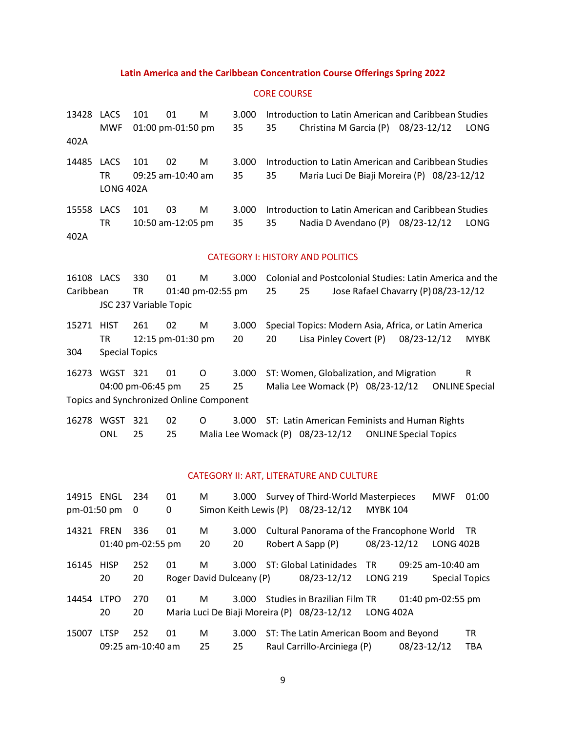#### **Latin America and the Caribbean Concentration Course Offerings Spring 2022**

#### CORE COURSE

13428 LACS 101 01 M 3.000 Introduction to Latin American and Caribbean Studies MWF 01:00 pm-01:50 pm 35 35 Christina M Garcia (P) 08/23-12/12 LONG 402A 14485 LACS 101 02 M 3.000 Introduction to Latin American and Caribbean Studies TR 09:25 am-10:40 am 35 35 Maria Luci De Biaji Moreira (P) 08/23-12/12 LONG 402A 15558 LACS 101 03 M 3.000 Introduction to Latin American and Caribbean Studies TR 10:50 am-12:05 pm 35 35 Nadia D Avendano (P) 08/23-12/12 LONG 402A

#### CATEGORY I: HISTORY AND POLITICS

| 16108 LACS      |                        | 330               | 01                | М                                        | 3.000 | Colonial and Postcolonial Studies: Latin America and the |  |                        |  |                              |                       |             |
|-----------------|------------------------|-------------------|-------------------|------------------------------------------|-------|----------------------------------------------------------|--|------------------------|--|------------------------------|-----------------------|-------------|
| Caribbean<br>TR |                        |                   | 01:40 pm-02:55 pm |                                          | 25    | Jose Rafael Chavarry (P) 08/23-12/12<br>25               |  |                        |  |                              |                       |             |
|                 | JSC 237 Variable Topic |                   |                   |                                          |       |                                                          |  |                        |  |                              |                       |             |
| 15271           | <b>HIST</b>            | 261               | 02                | M                                        | 3.000 | Special Topics: Modern Asia, Africa, or Latin America    |  |                        |  |                              |                       |             |
|                 | TR                     |                   | 12:15 pm-01:30 pm |                                          | 20    | 20                                                       |  | Lisa Pinley Covert (P) |  | 08/23-12/12                  |                       | <b>MYBK</b> |
| 304             | <b>Special Topics</b>  |                   |                   |                                          |       |                                                          |  |                        |  |                              |                       |             |
| 16273           | WGST                   | 321               | 01                | O                                        | 3.000 | ST: Women, Globalization, and Migration                  |  |                        |  |                              |                       | R           |
|                 |                        | 04:00 pm-06:45 pm |                   | 25                                       | 25    | Malia Lee Womack (P) 08/23-12/12                         |  |                        |  |                              | <b>ONLINE</b> Special |             |
|                 |                        |                   |                   | Topics and Synchronized Online Component |       |                                                          |  |                        |  |                              |                       |             |
| 16278           | WGST                   | 321               | 02                | $\Omega$                                 | 3.000 | ST: Latin American Feminists and Human Rights            |  |                        |  |                              |                       |             |
|                 | ONL                    | 25                | 25                |                                          |       | Malia Lee Womack (P) 08/23-12/12                         |  |                        |  | <b>ONLINE Special Topics</b> |                       |             |

#### CATEGORY II: ART, LITERATURE AND CULTURE

|             | 14915 ENGL  | 234               | 01 | М                        | 3.000                 | Survey of Third-World Masterpieces          |                 |                   | <b>MWF</b>            | 01:00      |
|-------------|-------------|-------------------|----|--------------------------|-----------------------|---------------------------------------------|-----------------|-------------------|-----------------------|------------|
| pm-01:50 pm |             | - 0               | 0  |                          | Simon Keith Lewis (P) | 08/23-12/12                                 | <b>MYBK 104</b> |                   |                       |            |
| 14321       | <b>FREN</b> | 336               | 01 | M                        | 3.000                 | Cultural Panorama of the Francophone World  |                 |                   |                       | <b>TR</b>  |
|             |             | 01:40 pm-02:55 pm |    | 20                       | 20                    | Robert A Sapp (P)                           | 08/23-12/12     |                   | <b>LONG 402B</b>      |            |
| 16145       | <b>HISP</b> | 252               | 01 | M                        | 3.000                 | ST: Global Latinidades                      | <b>TR</b>       |                   | 09:25 am-10:40 am     |            |
|             | 20          | 20                |    | Roger David Dulceany (P) |                       | 08/23-12/12                                 | <b>LONG 219</b> |                   | <b>Special Topics</b> |            |
| 14454       | <b>LTPO</b> | 270               | 01 | M                        | 3.000                 | Studies in Brazilian Film TR                |                 | 01:40 pm-02:55 pm |                       |            |
|             | 20          | 20                |    |                          |                       | Maria Luci De Biaji Moreira (P) 08/23-12/12 | LONG 402A       |                   |                       |            |
| 15007       | <b>LTSP</b> | 252               | 01 | M                        | 3.000                 | ST: The Latin American Boom and Beyond      |                 |                   |                       | TR         |
|             |             | 09:25 am-10:40 am |    | 25                       | 25                    | Raul Carrillo-Arciniega (P)                 |                 | 08/23-12/12       |                       | <b>TBA</b> |